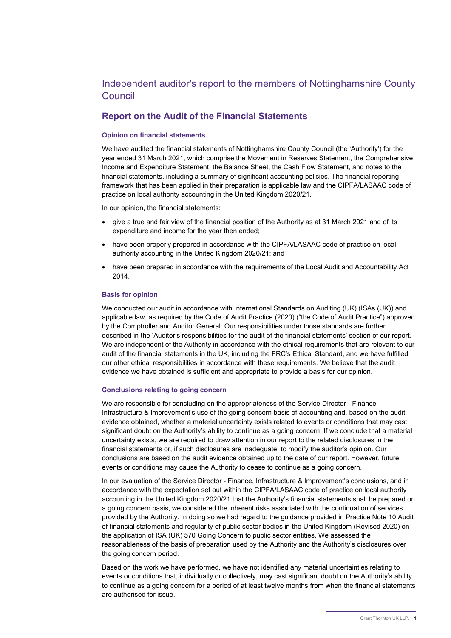# Independent auditor's report to the members of Nottinghamshire County Council

## Report on the Audit of the Financial Statements

#### Opinion on financial statements

We have audited the financial statements of Nottinghamshire County Council (the 'Authority') for the year ended 31 March 2021, which comprise the Movement in Reserves Statement, the Comprehensive Income and Expenditure Statement, the Balance Sheet, the Cash Flow Statement, and notes to the financial statements, including a summary of significant accounting policies. The financial reporting framework that has been applied in their preparation is applicable law and the CIPFA/LASAAC code of practice on local authority accounting in the United Kingdom 2020/21.

In our opinion, the financial statements:

- give a true and fair view of the financial position of the Authority as at 31 March 2021 and of its expenditure and income for the year then ended;
- have been properly prepared in accordance with the CIPFA/LASAAC code of practice on local authority accounting in the United Kingdom 2020/21; and
- have been prepared in accordance with the requirements of the Local Audit and Accountability Act 2014.

#### Basis for opinion

We conducted our audit in accordance with International Standards on Auditing (UK) (ISAs (UK)) and applicable law, as required by the Code of Audit Practice (2020) ("the Code of Audit Practice") approved by the Comptroller and Auditor General. Our responsibilities under those standards are further described in the 'Auditor's responsibilities for the audit of the financial statements' section of our report. We are independent of the Authority in accordance with the ethical requirements that are relevant to our audit of the financial statements in the UK, including the FRC's Ethical Standard, and we have fulfilled our other ethical responsibilities in accordance with these requirements. We believe that the audit evidence we have obtained is sufficient and appropriate to provide a basis for our opinion.

#### Conclusions relating to going concern

We are responsible for concluding on the appropriateness of the Service Director - Finance, Infrastructure & Improvement's use of the going concern basis of accounting and, based on the audit evidence obtained, whether a material uncertainty exists related to events or conditions that may cast significant doubt on the Authority's ability to continue as a going concern. If we conclude that a material uncertainty exists, we are required to draw attention in our report to the related disclosures in the financial statements or, if such disclosures are inadequate, to modify the auditor's opinion. Our conclusions are based on the audit evidence obtained up to the date of our report. However, future events or conditions may cause the Authority to cease to continue as a going concern.

In our evaluation of the Service Director - Finance, Infrastructure & Improvement's conclusions, and in accordance with the expectation set out within the CIPFA/LASAAC code of practice on local authority accounting in the United Kingdom 2020/21 that the Authority's financial statements shall be prepared on a going concern basis, we considered the inherent risks associated with the continuation of services provided by the Authority. In doing so we had regard to the guidance provided in Practice Note 10 Audit of financial statements and regularity of public sector bodies in the United Kingdom (Revised 2020) on the application of ISA (UK) 570 Going Concern to public sector entities. We assessed the reasonableness of the basis of preparation used by the Authority and the Authority's disclosures over the going concern period.

Based on the work we have performed, we have not identified any material uncertainties relating to events or conditions that, individually or collectively, may cast significant doubt on the Authority's ability to continue as a going concern for a period of at least twelve months from when the financial statements are authorised for issue.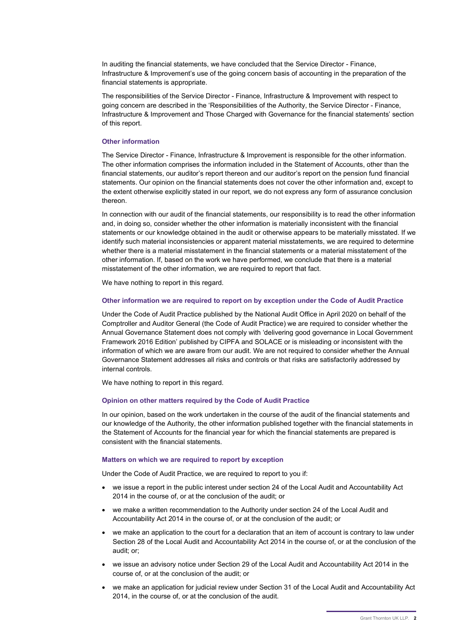In auditing the financial statements, we have concluded that the Service Director - Finance, Infrastructure & Improvement's use of the going concern basis of accounting in the preparation of the financial statements is appropriate.

The responsibilities of the Service Director - Finance, Infrastructure & Improvement with respect to going concern are described in the 'Responsibilities of the Authority, the Service Director - Finance, Infrastructure & Improvement and Those Charged with Governance for the financial statements' section of this report.

#### Other information

The Service Director - Finance, Infrastructure & Improvement is responsible for the other information. The other information comprises the information included in the Statement of Accounts, other than the financial statements, our auditor's report thereon and our auditor's report on the pension fund financial statements. Our opinion on the financial statements does not cover the other information and, except to the extent otherwise explicitly stated in our report, we do not express any form of assurance conclusion thereon.

In connection with our audit of the financial statements, our responsibility is to read the other information and, in doing so, consider whether the other information is materially inconsistent with the financial statements or our knowledge obtained in the audit or otherwise appears to be materially misstated. If we identify such material inconsistencies or apparent material misstatements, we are required to determine whether there is a material misstatement in the financial statements or a material misstatement of the other information. If, based on the work we have performed, we conclude that there is a material misstatement of the other information, we are required to report that fact.

We have nothing to report in this regard.

#### Other information we are required to report on by exception under the Code of Audit Practice

Under the Code of Audit Practice published by the National Audit Office in April 2020 on behalf of the Comptroller and Auditor General (the Code of Audit Practice) we are required to consider whether the Annual Governance Statement does not comply with 'delivering good governance in Local Government Framework 2016 Edition' published by CIPFA and SOLACE or is misleading or inconsistent with the information of which we are aware from our audit. We are not required to consider whether the Annual Governance Statement addresses all risks and controls or that risks are satisfactorily addressed by internal controls.

We have nothing to report in this regard.

#### Opinion on other matters required by the Code of Audit Practice

In our opinion, based on the work undertaken in the course of the audit of the financial statements and our knowledge of the Authority, the other information published together with the financial statements in the Statement of Accounts for the financial year for which the financial statements are prepared is consistent with the financial statements.

#### Matters on which we are required to report by exception

Under the Code of Audit Practice, we are required to report to you if:

- we issue a report in the public interest under section 24 of the Local Audit and Accountability Act 2014 in the course of, or at the conclusion of the audit; or
- we make a written recommendation to the Authority under section 24 of the Local Audit and Accountability Act 2014 in the course of, or at the conclusion of the audit; or
- we make an application to the court for a declaration that an item of account is contrary to law under Section 28 of the Local Audit and Accountability Act 2014 in the course of, or at the conclusion of the audit; or;
- we issue an advisory notice under Section 29 of the Local Audit and Accountability Act 2014 in the course of, or at the conclusion of the audit; or
- we make an application for judicial review under Section 31 of the Local Audit and Accountability Act 2014, in the course of, or at the conclusion of the audit.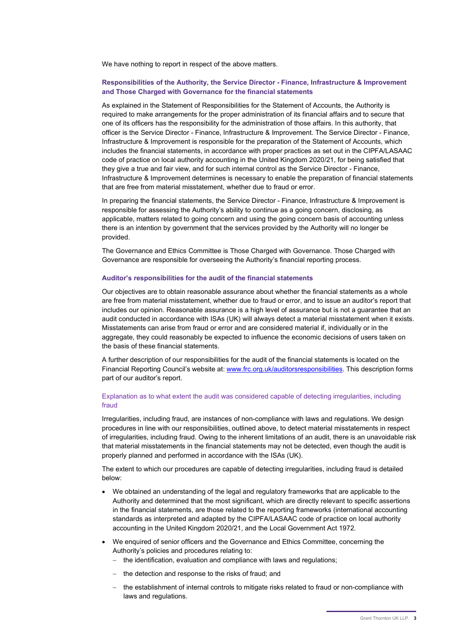We have nothing to report in respect of the above matters.

## Responsibilities of the Authority, the Service Director - Finance, Infrastructure & Improvement and Those Charged with Governance for the financial statements

As explained in the Statement of Responsibilities for the Statement of Accounts, the Authority is required to make arrangements for the proper administration of its financial affairs and to secure that one of its officers has the responsibility for the administration of those affairs. In this authority, that officer is the Service Director - Finance, Infrastructure & Improvement. The Service Director - Finance, Infrastructure & Improvement is responsible for the preparation of the Statement of Accounts, which includes the financial statements, in accordance with proper practices as set out in the CIPFA/LASAAC code of practice on local authority accounting in the United Kingdom 2020/21, for being satisfied that they give a true and fair view, and for such internal control as the Service Director - Finance, Infrastructure & Improvement determines is necessary to enable the preparation of financial statements that are free from material misstatement, whether due to fraud or error.

In preparing the financial statements, the Service Director - Finance, Infrastructure & Improvement is responsible for assessing the Authority's ability to continue as a going concern, disclosing, as applicable, matters related to going concern and using the going concern basis of accounting unless there is an intention by government that the services provided by the Authority will no longer be provided.

The Governance and Ethics Committee is Those Charged with Governance. Those Charged with Governance are responsible for overseeing the Authority's financial reporting process.

#### Auditor's responsibilities for the audit of the financial statements

Our objectives are to obtain reasonable assurance about whether the financial statements as a whole are free from material misstatement, whether due to fraud or error, and to issue an auditor's report that includes our opinion. Reasonable assurance is a high level of assurance but is not a guarantee that an audit conducted in accordance with ISAs (UK) will always detect a material misstatement when it exists. Misstatements can arise from fraud or error and are considered material if, individually or in the aggregate, they could reasonably be expected to influence the economic decisions of users taken on the basis of these financial statements.

A further description of our responsibilities for the audit of the financial statements is located on the Financial Reporting Council's website at: www.frc.org.uk/auditorsresponsibilities. This description forms part of our auditor's report.

## Explanation as to what extent the audit was considered capable of detecting irregularities, including fraud

Irregularities, including fraud, are instances of non-compliance with laws and regulations. We design procedures in line with our responsibilities, outlined above, to detect material misstatements in respect of irregularities, including fraud. Owing to the inherent limitations of an audit, there is an unavoidable risk that material misstatements in the financial statements may not be detected, even though the audit is properly planned and performed in accordance with the ISAs (UK).

The extent to which our procedures are capable of detecting irregularities, including fraud is detailed below:

- We obtained an understanding of the legal and regulatory frameworks that are applicable to the Authority and determined that the most significant, which are directly relevant to specific assertions in the financial statements, are those related to the reporting frameworks (international accounting standards as interpreted and adapted by the CIPFA/LASAAC code of practice on local authority accounting in the United Kingdom 2020/21, and the Local Government Act 1972.
- We enquired of senior officers and the Governance and Ethics Committee, concerning the Authority's policies and procedures relating to:
	- the identification, evaluation and compliance with laws and regulations;
	- the detection and response to the risks of fraud; and
	- the establishment of internal controls to mitigate risks related to fraud or non-compliance with laws and regulations.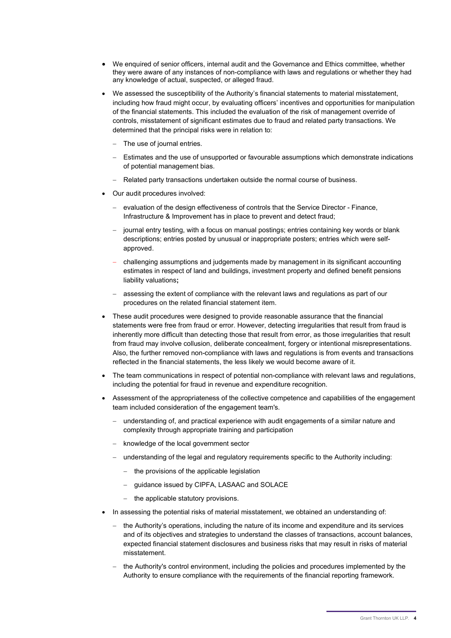- We enquired of senior officers, internal audit and the Governance and Ethics committee, whether they were aware of any instances of non-compliance with laws and regulations or whether they had any knowledge of actual, suspected, or alleged fraud.
- We assessed the susceptibility of the Authority's financial statements to material misstatement, including how fraud might occur, by evaluating officers' incentives and opportunities for manipulation of the financial statements. This included the evaluation of the risk of management override of controls, misstatement of significant estimates due to fraud and related party transactions. We determined that the principal risks were in relation to:
	- The use of journal entries.
	- Estimates and the use of unsupported or favourable assumptions which demonstrate indications of potential management bias.
	- Related party transactions undertaken outside the normal course of business.
- Our audit procedures involved:
	- evaluation of the design effectiveness of controls that the Service Director Finance, Infrastructure & Improvement has in place to prevent and detect fraud;
	- journal entry testing, with a focus on manual postings; entries containing key words or blank descriptions; entries posted by unusual or inappropriate posters; entries which were selfapproved.
	- challenging assumptions and judgements made by management in its significant accounting estimates in respect of land and buildings, investment property and defined benefit pensions liability valuations;
	- assessing the extent of compliance with the relevant laws and regulations as part of our procedures on the related financial statement item.
- These audit procedures were designed to provide reasonable assurance that the financial statements were free from fraud or error. However, detecting irregularities that result from fraud is inherently more difficult than detecting those that result from error, as those irregularities that result from fraud may involve collusion, deliberate concealment, forgery or intentional misrepresentations. Also, the further removed non-compliance with laws and regulations is from events and transactions reflected in the financial statements, the less likely we would become aware of it.
- The team communications in respect of potential non-compliance with relevant laws and regulations, including the potential for fraud in revenue and expenditure recognition.
- Assessment of the appropriateness of the collective competence and capabilities of the engagement team included consideration of the engagement team's.
	- understanding of, and practical experience with audit engagements of a similar nature and complexity through appropriate training and participation
	- knowledge of the local government sector
	- understanding of the legal and regulatory requirements specific to the Authority including:
		- $-$  the provisions of the applicable legislation
		- guidance issued by CIPFA, LASAAC and SOLACE
		- the applicable statutory provisions.
- In assessing the potential risks of material misstatement, we obtained an understanding of:
	- the Authority's operations, including the nature of its income and expenditure and its services and of its objectives and strategies to understand the classes of transactions, account balances, expected financial statement disclosures and business risks that may result in risks of material misstatement.
	- the Authority's control environment, including the policies and procedures implemented by the Authority to ensure compliance with the requirements of the financial reporting framework.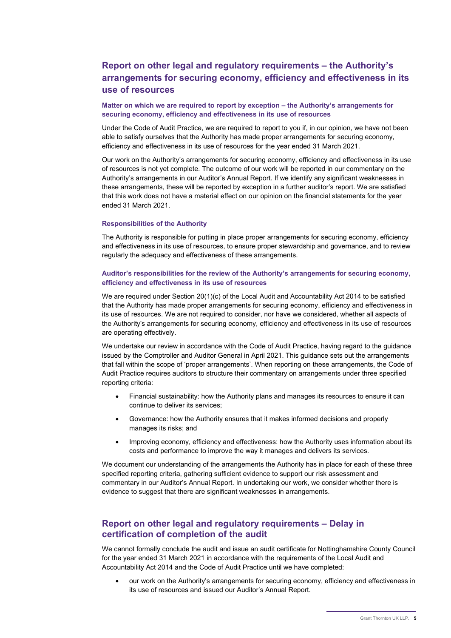# Report on other legal and regulatory requirements – the Authority's arrangements for securing economy, efficiency and effectiveness in its use of resources

#### Matter on which we are required to report by exception – the Authority's arrangements for securing economy, efficiency and effectiveness in its use of resources

Under the Code of Audit Practice, we are required to report to you if, in our opinion, we have not been able to satisfy ourselves that the Authority has made proper arrangements for securing economy, efficiency and effectiveness in its use of resources for the year ended 31 March 2021.

Our work on the Authority's arrangements for securing economy, efficiency and effectiveness in its use of resources is not yet complete. The outcome of our work will be reported in our commentary on the Authority's arrangements in our Auditor's Annual Report. If we identify any significant weaknesses in these arrangements, these will be reported by exception in a further auditor's report. We are satisfied that this work does not have a material effect on our opinion on the financial statements for the year ended 31 March 2021.

## Responsibilities of the Authority

The Authority is responsible for putting in place proper arrangements for securing economy, efficiency and effectiveness in its use of resources, to ensure proper stewardship and governance, and to review regularly the adequacy and effectiveness of these arrangements.

#### Auditor's responsibilities for the review of the Authority's arrangements for securing economy, efficiency and effectiveness in its use of resources

We are required under Section 20(1)(c) of the Local Audit and Accountability Act 2014 to be satisfied that the Authority has made proper arrangements for securing economy, efficiency and effectiveness in its use of resources. We are not required to consider, nor have we considered, whether all aspects of the Authority's arrangements for securing economy, efficiency and effectiveness in its use of resources are operating effectively.

We undertake our review in accordance with the Code of Audit Practice, having regard to the guidance issued by the Comptroller and Auditor General in April 2021. This guidance sets out the arrangements that fall within the scope of 'proper arrangements'. When reporting on these arrangements, the Code of Audit Practice requires auditors to structure their commentary on arrangements under three specified reporting criteria:

- Financial sustainability: how the Authority plans and manages its resources to ensure it can continue to deliver its services;
- Governance: how the Authority ensures that it makes informed decisions and properly manages its risks; and
- Improving economy, efficiency and effectiveness: how the Authority uses information about its costs and performance to improve the way it manages and delivers its services.

We document our understanding of the arrangements the Authority has in place for each of these three specified reporting criteria, gathering sufficient evidence to support our risk assessment and commentary in our Auditor's Annual Report. In undertaking our work, we consider whether there is evidence to suggest that there are significant weaknesses in arrangements.

## Report on other legal and regulatory requirements – Delay in certification of completion of the audit

We cannot formally conclude the audit and issue an audit certificate for Nottinghamshire County Council for the year ended 31 March 2021 in accordance with the requirements of the Local Audit and Accountability Act 2014 and the Code of Audit Practice until we have completed:

 our work on the Authority's arrangements for securing economy, efficiency and effectiveness in its use of resources and issued our Auditor's Annual Report.